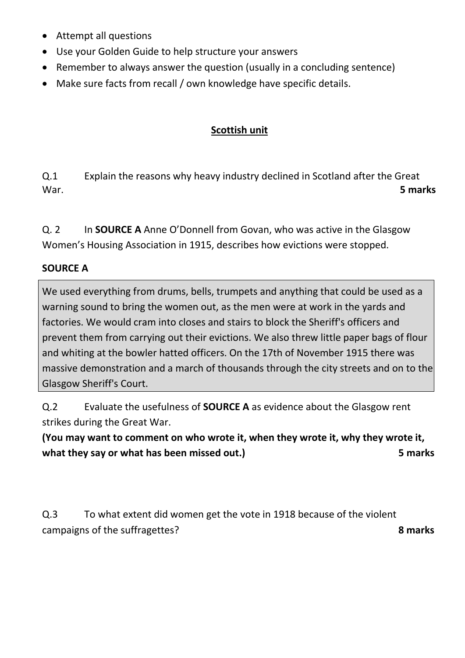- Attempt all questions
- Use your Golden Guide to help structure your answers
- Remember to always answer the question (usually in a concluding sentence)
- Make sure facts from recall / own knowledge have specific details.

## **Scottish unit**

Q.1 Explain the reasons why heavy industry declined in Scotland after the Great War. **5 marks**

Q. 2 In **SOURCE A** Anne O'Donnell from Govan, who was active in the Glasgow Women's Housing Association in 1915, describes how evictions were stopped.

## **SOURCE A**

We used everything from drums, bells, trumpets and anything that could be used as a warning sound to bring the women out, as the men were at work in the yards and factories. We would cram into closes and stairs to block the Sheriff's officers and prevent them from carrying out their evictions. We also threw little paper bags of flour and whiting at the bowler hatted officers. On the 17th of November 1915 there was massive demonstration and a march of thousands through the city streets and on to the Glasgow Sheriff's Court.

Q.2 Evaluate the usefulness of **SOURCE A** as evidence about the Glasgow rent strikes during the Great War.

**(You may want to comment on who wrote it, when they wrote it, why they wrote it, what they say or what has been missed out.) 5 marks**

Q.3 To what extent did women get the vote in 1918 because of the violent campaigns of the suffragettes? **8 marks**